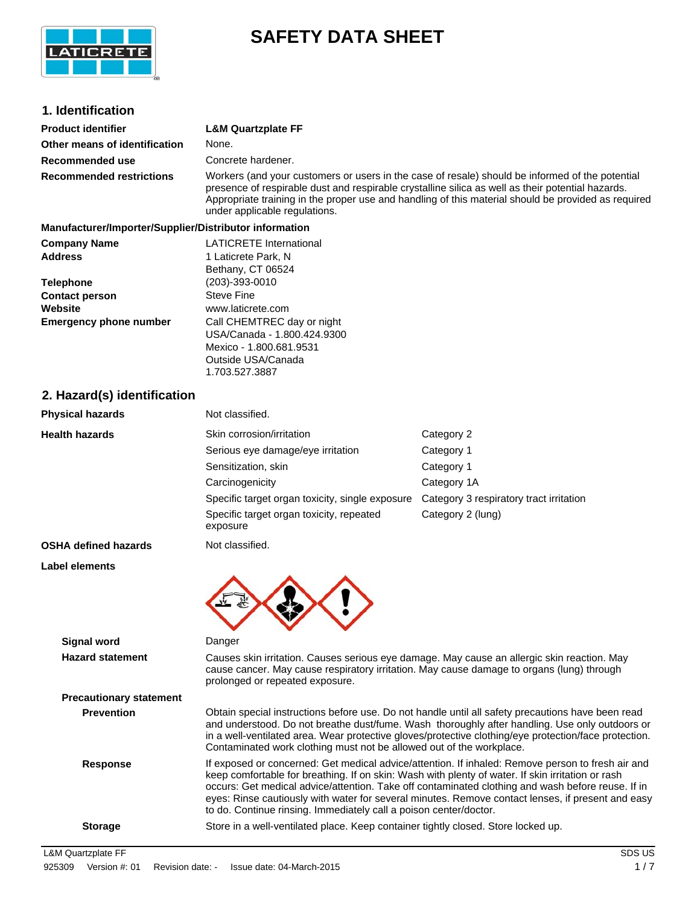

## **SAFETY DATA SHEET**

| 1. Identification                                      |                                                                                                                                                                                                                                                                                                                                                                                                                                                                                       |                                         |  |
|--------------------------------------------------------|---------------------------------------------------------------------------------------------------------------------------------------------------------------------------------------------------------------------------------------------------------------------------------------------------------------------------------------------------------------------------------------------------------------------------------------------------------------------------------------|-----------------------------------------|--|
| <b>Product identifier</b>                              | <b>L&amp;M Quartzplate FF</b>                                                                                                                                                                                                                                                                                                                                                                                                                                                         |                                         |  |
| Other means of identification                          | None.                                                                                                                                                                                                                                                                                                                                                                                                                                                                                 |                                         |  |
| Recommended use                                        | Concrete hardener.                                                                                                                                                                                                                                                                                                                                                                                                                                                                    |                                         |  |
| <b>Recommended restrictions</b>                        | Workers (and your customers or users in the case of resale) should be informed of the potential<br>presence of respirable dust and respirable crystalline silica as well as their potential hazards.<br>Appropriate training in the proper use and handling of this material should be provided as required<br>under applicable regulations.                                                                                                                                          |                                         |  |
| Manufacturer/Importer/Supplier/Distributor information |                                                                                                                                                                                                                                                                                                                                                                                                                                                                                       |                                         |  |
| <b>Company Name</b><br><b>Address</b>                  | <b>LATICRETE</b> International<br>1 Laticrete Park, N<br>Bethany, CT 06524                                                                                                                                                                                                                                                                                                                                                                                                            |                                         |  |
| <b>Telephone</b>                                       | $(203) - 393 - 0010$                                                                                                                                                                                                                                                                                                                                                                                                                                                                  |                                         |  |
| <b>Contact person</b><br>Website                       | <b>Steve Fine</b><br>www.laticrete.com                                                                                                                                                                                                                                                                                                                                                                                                                                                |                                         |  |
| <b>Emergency phone number</b>                          | Call CHEMTREC day or night                                                                                                                                                                                                                                                                                                                                                                                                                                                            |                                         |  |
|                                                        | USA/Canada - 1.800.424.9300<br>Mexico - 1.800.681.9531<br>Outside USA/Canada<br>1.703.527.3887                                                                                                                                                                                                                                                                                                                                                                                        |                                         |  |
| 2. Hazard(s) identification                            |                                                                                                                                                                                                                                                                                                                                                                                                                                                                                       |                                         |  |
| <b>Physical hazards</b>                                | Not classified.                                                                                                                                                                                                                                                                                                                                                                                                                                                                       |                                         |  |
| <b>Health hazards</b>                                  | Skin corrosion/irritation                                                                                                                                                                                                                                                                                                                                                                                                                                                             | Category 2                              |  |
|                                                        | Serious eye damage/eye irritation                                                                                                                                                                                                                                                                                                                                                                                                                                                     | Category 1                              |  |
|                                                        | Sensitization, skin                                                                                                                                                                                                                                                                                                                                                                                                                                                                   | Category 1                              |  |
|                                                        | Carcinogenicity                                                                                                                                                                                                                                                                                                                                                                                                                                                                       | Category 1A                             |  |
|                                                        | Specific target organ toxicity, single exposure                                                                                                                                                                                                                                                                                                                                                                                                                                       | Category 3 respiratory tract irritation |  |
|                                                        | Specific target organ toxicity, repeated<br>exposure                                                                                                                                                                                                                                                                                                                                                                                                                                  | Category 2 (lung)                       |  |
| <b>OSHA defined hazards</b>                            | Not classified.                                                                                                                                                                                                                                                                                                                                                                                                                                                                       |                                         |  |
| Label elements                                         |                                                                                                                                                                                                                                                                                                                                                                                                                                                                                       |                                         |  |
|                                                        |                                                                                                                                                                                                                                                                                                                                                                                                                                                                                       |                                         |  |
| <b>Signal word</b>                                     | Danger                                                                                                                                                                                                                                                                                                                                                                                                                                                                                |                                         |  |
| <b>Hazard statement</b>                                | Causes skin irritation. Causes serious eye damage. May cause an allergic skin reaction. May<br>cause cancer. May cause respiratory irritation. May cause damage to organs (lung) through<br>prolonged or repeated exposure.                                                                                                                                                                                                                                                           |                                         |  |
| <b>Precautionary statement</b>                         |                                                                                                                                                                                                                                                                                                                                                                                                                                                                                       |                                         |  |
| <b>Prevention</b>                                      | Obtain special instructions before use. Do not handle until all safety precautions have been read<br>and understood. Do not breathe dust/fume. Wash thoroughly after handling. Use only outdoors or<br>in a well-ventilated area. Wear protective gloves/protective clothing/eye protection/face protection.<br>Contaminated work clothing must not be allowed out of the workplace.                                                                                                  |                                         |  |
| <b>Response</b>                                        | If exposed or concerned: Get medical advice/attention. If inhaled: Remove person to fresh air and<br>keep comfortable for breathing. If on skin: Wash with plenty of water. If skin irritation or rash<br>occurs: Get medical advice/attention. Take off contaminated clothing and wash before reuse. If in<br>eyes: Rinse cautiously with water for several minutes. Remove contact lenses, if present and easy<br>to do. Continue rinsing. Immediately call a poison center/doctor. |                                         |  |

**Storage** Store in a well-ventilated place. Keep container tightly closed. Store locked up.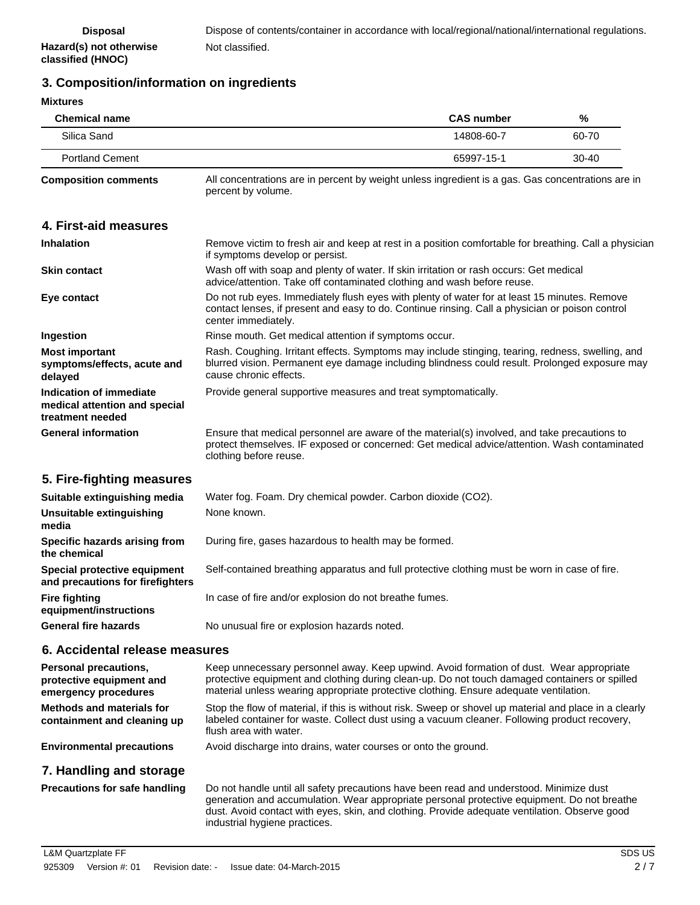## **3. Composition/information on ingredients**

| <b>Mixtures</b>                                                                  |                                                                                                                                                                                                                                                                                                                          |                   |       |
|----------------------------------------------------------------------------------|--------------------------------------------------------------------------------------------------------------------------------------------------------------------------------------------------------------------------------------------------------------------------------------------------------------------------|-------------------|-------|
| <b>Chemical name</b>                                                             |                                                                                                                                                                                                                                                                                                                          | <b>CAS number</b> | %     |
| Silica Sand                                                                      |                                                                                                                                                                                                                                                                                                                          | 14808-60-7        | 60-70 |
| <b>Portland Cement</b>                                                           |                                                                                                                                                                                                                                                                                                                          | 65997-15-1        | 30-40 |
| <b>Composition comments</b>                                                      | All concentrations are in percent by weight unless ingredient is a gas. Gas concentrations are in<br>percent by volume.                                                                                                                                                                                                  |                   |       |
| 4. First-aid measures                                                            |                                                                                                                                                                                                                                                                                                                          |                   |       |
| <b>Inhalation</b>                                                                | Remove victim to fresh air and keep at rest in a position comfortable for breathing. Call a physician<br>if symptoms develop or persist.                                                                                                                                                                                 |                   |       |
| <b>Skin contact</b>                                                              | Wash off with soap and plenty of water. If skin irritation or rash occurs: Get medical<br>advice/attention. Take off contaminated clothing and wash before reuse.                                                                                                                                                        |                   |       |
| Eye contact                                                                      | Do not rub eyes. Immediately flush eyes with plenty of water for at least 15 minutes. Remove<br>contact lenses, if present and easy to do. Continue rinsing. Call a physician or poison control<br>center immediately.                                                                                                   |                   |       |
| Ingestion                                                                        | Rinse mouth. Get medical attention if symptoms occur.                                                                                                                                                                                                                                                                    |                   |       |
| <b>Most important</b><br>symptoms/effects, acute and<br>delayed                  | Rash. Coughing. Irritant effects. Symptoms may include stinging, tearing, redness, swelling, and<br>blurred vision. Permanent eye damage including blindness could result. Prolonged exposure may<br>cause chronic effects.                                                                                              |                   |       |
| Indication of immediate<br>medical attention and special<br>treatment needed     | Provide general supportive measures and treat symptomatically.                                                                                                                                                                                                                                                           |                   |       |
| <b>General information</b>                                                       | Ensure that medical personnel are aware of the material(s) involved, and take precautions to<br>protect themselves. IF exposed or concerned: Get medical advice/attention. Wash contaminated<br>clothing before reuse.                                                                                                   |                   |       |
| 5. Fire-fighting measures                                                        |                                                                                                                                                                                                                                                                                                                          |                   |       |
| Suitable extinguishing media                                                     | Water fog. Foam. Dry chemical powder. Carbon dioxide (CO2).                                                                                                                                                                                                                                                              |                   |       |
| Unsuitable extinguishing<br>media                                                | None known.                                                                                                                                                                                                                                                                                                              |                   |       |
| Specific hazards arising from<br>the chemical                                    | During fire, gases hazardous to health may be formed.                                                                                                                                                                                                                                                                    |                   |       |
| Special protective equipment<br>and precautions for firefighters                 | Self-contained breathing apparatus and full protective clothing must be worn in case of fire.                                                                                                                                                                                                                            |                   |       |
| <b>Fire fighting</b><br>equipment/instructions                                   | In case of fire and/or explosion do not breathe fumes.                                                                                                                                                                                                                                                                   |                   |       |
| <b>General fire hazards</b>                                                      | No unusual fire or explosion hazards noted.                                                                                                                                                                                                                                                                              |                   |       |
| 6. Accidental release measures                                                   |                                                                                                                                                                                                                                                                                                                          |                   |       |
| <b>Personal precautions,</b><br>protective equipment and<br>emergency procedures | Keep unnecessary personnel away. Keep upwind. Avoid formation of dust. Wear appropriate<br>protective equipment and clothing during clean-up. Do not touch damaged containers or spilled<br>material unless wearing appropriate protective clothing. Ensure adequate ventilation.                                        |                   |       |
| <b>Methods and materials for</b><br>containment and cleaning up                  | Stop the flow of material, if this is without risk. Sweep or shovel up material and place in a clearly<br>labeled container for waste. Collect dust using a vacuum cleaner. Following product recovery,<br>flush area with water.                                                                                        |                   |       |
| <b>Environmental precautions</b>                                                 | Avoid discharge into drains, water courses or onto the ground.                                                                                                                                                                                                                                                           |                   |       |
| 7. Handling and storage                                                          |                                                                                                                                                                                                                                                                                                                          |                   |       |
| <b>Precautions for safe handling</b>                                             | Do not handle until all safety precautions have been read and understood. Minimize dust<br>generation and accumulation. Wear appropriate personal protective equipment. Do not breathe<br>dust. Avoid contact with eyes, skin, and clothing. Provide adequate ventilation. Observe good<br>industrial hygiene practices. |                   |       |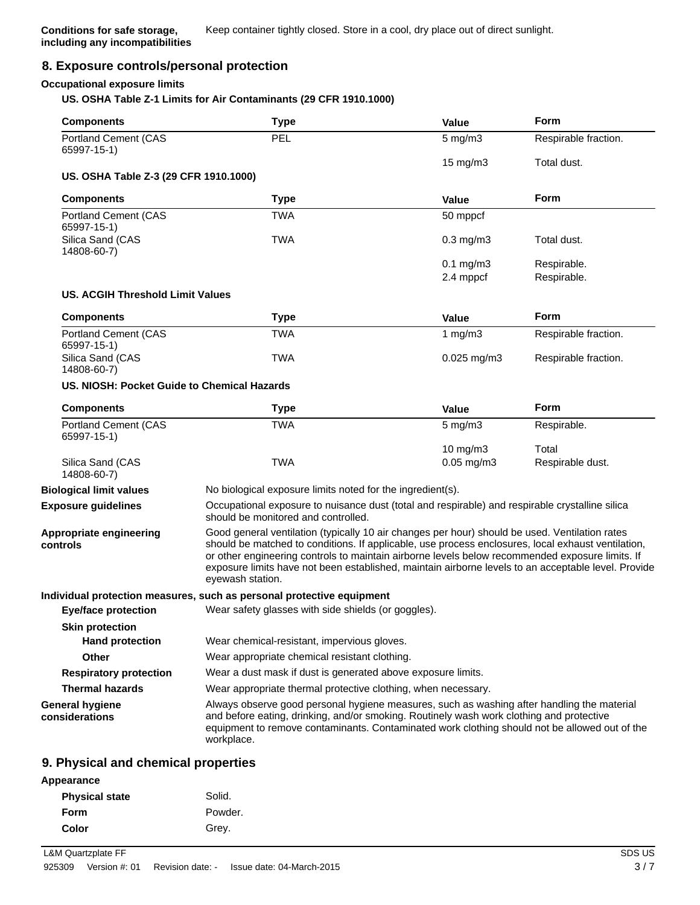#### **8. Exposure controls/personal protection**

#### **Occupational exposure limits**

#### **US. OSHA Table Z-1 Limits for Air Contaminants (29 CFR 1910.1000)**

| <b>Components</b>                           | <b>Type</b>                                                                                                                                                                                                                                                                                                                                                                                                                        | <b>Value</b>    | Form                 |
|---------------------------------------------|------------------------------------------------------------------------------------------------------------------------------------------------------------------------------------------------------------------------------------------------------------------------------------------------------------------------------------------------------------------------------------------------------------------------------------|-----------------|----------------------|
| Portland Cement (CAS<br>65997-15-1)         | PEL                                                                                                                                                                                                                                                                                                                                                                                                                                | $5$ mg/m $3$    | Respirable fraction. |
| US. OSHA Table Z-3 (29 CFR 1910.1000)       |                                                                                                                                                                                                                                                                                                                                                                                                                                    | 15 mg/m3        | Total dust.          |
|                                             |                                                                                                                                                                                                                                                                                                                                                                                                                                    |                 |                      |
| <b>Components</b>                           | <b>Type</b>                                                                                                                                                                                                                                                                                                                                                                                                                        | <b>Value</b>    | <b>Form</b>          |
| <b>Portland Cement (CAS</b><br>65997-15-1)  | <b>TWA</b>                                                                                                                                                                                                                                                                                                                                                                                                                         | 50 mppcf        |                      |
| Silica Sand (CAS<br>14808-60-7)             | <b>TWA</b>                                                                                                                                                                                                                                                                                                                                                                                                                         | $0.3$ mg/m $3$  | Total dust.          |
|                                             |                                                                                                                                                                                                                                                                                                                                                                                                                                    | $0.1$ mg/m $3$  | Respirable.          |
|                                             |                                                                                                                                                                                                                                                                                                                                                                                                                                    | 2.4 mppcf       | Respirable.          |
| US. ACGIH Threshold Limit Values            |                                                                                                                                                                                                                                                                                                                                                                                                                                    |                 |                      |
| <b>Components</b>                           | <b>Type</b>                                                                                                                                                                                                                                                                                                                                                                                                                        | <b>Value</b>    | <b>Form</b>          |
| <b>Portland Cement (CAS</b><br>65997-15-1)  | TWA                                                                                                                                                                                                                                                                                                                                                                                                                                | 1 $mg/m3$       | Respirable fraction. |
| Silica Sand (CAS<br>14808-60-7)             | <b>TWA</b>                                                                                                                                                                                                                                                                                                                                                                                                                         | $0.025$ mg/m3   | Respirable fraction. |
| US. NIOSH: Pocket Guide to Chemical Hazards |                                                                                                                                                                                                                                                                                                                                                                                                                                    |                 |                      |
| <b>Components</b>                           | <b>Type</b>                                                                                                                                                                                                                                                                                                                                                                                                                        | Value           | <b>Form</b>          |
| <b>Portland Cement (CAS</b><br>65997-15-1)  | <b>TWA</b>                                                                                                                                                                                                                                                                                                                                                                                                                         | $5$ mg/m $3$    | Respirable.          |
|                                             |                                                                                                                                                                                                                                                                                                                                                                                                                                    | 10 mg/m3        | Total                |
| Silica Sand (CAS<br>14808-60-7)             | <b>TWA</b>                                                                                                                                                                                                                                                                                                                                                                                                                         | $0.05$ mg/m $3$ | Respirable dust.     |
| <b>Biological limit values</b>              | No biological exposure limits noted for the ingredient(s).                                                                                                                                                                                                                                                                                                                                                                         |                 |                      |
| <b>Exposure guidelines</b>                  | Occupational exposure to nuisance dust (total and respirable) and respirable crystalline silica<br>should be monitored and controlled.                                                                                                                                                                                                                                                                                             |                 |                      |
| Appropriate engineering<br>controls         | Good general ventilation (typically 10 air changes per hour) should be used. Ventilation rates<br>should be matched to conditions. If applicable, use process enclosures, local exhaust ventilation,<br>or other engineering controls to maintain airborne levels below recommended exposure limits. If<br>exposure limits have not been established, maintain airborne levels to an acceptable level. Provide<br>eyewash station. |                 |                      |
|                                             | Individual protection measures, such as personal protective equipment                                                                                                                                                                                                                                                                                                                                                              |                 |                      |
| <b>Eye/face protection</b>                  | Wear safety glasses with side shields (or goggles).                                                                                                                                                                                                                                                                                                                                                                                |                 |                      |
| <b>Skin protection</b>                      |                                                                                                                                                                                                                                                                                                                                                                                                                                    |                 |                      |
| <b>Hand protection</b>                      | Wear chemical-resistant, impervious gloves.                                                                                                                                                                                                                                                                                                                                                                                        |                 |                      |
| <b>Other</b>                                | Wear appropriate chemical resistant clothing.                                                                                                                                                                                                                                                                                                                                                                                      |                 |                      |
| <b>Respiratory protection</b>               | Wear a dust mask if dust is generated above exposure limits.                                                                                                                                                                                                                                                                                                                                                                       |                 |                      |
| <b>Thermal hazards</b>                      | Wear appropriate thermal protective clothing, when necessary.                                                                                                                                                                                                                                                                                                                                                                      |                 |                      |
| <b>General hygiene</b><br>considerations    | Always observe good personal hygiene measures, such as washing after handling the material<br>and before eating, drinking, and/or smoking. Routinely wash work clothing and protective<br>equipment to remove contaminants. Contaminated work clothing should not be allowed out of the<br>workplace.                                                                                                                              |                 |                      |

#### **9. Physical and chemical properties**

| Appearance            |         |
|-----------------------|---------|
| <b>Physical state</b> | Solid.  |
| <b>Form</b>           | Powder. |
| <b>Color</b>          | Grey.   |
|                       |         |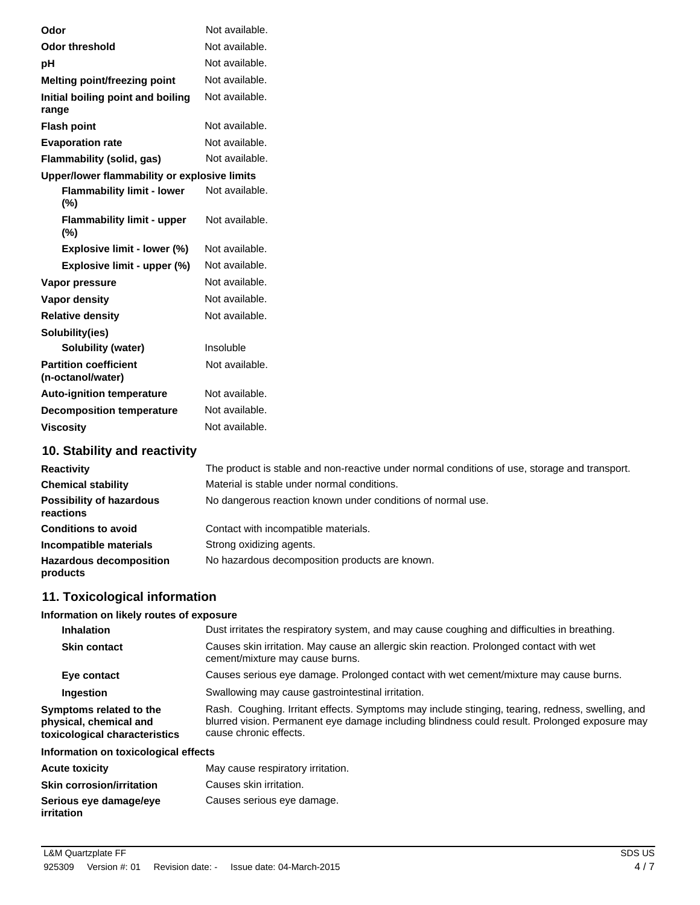| Odor               |                                                   | Not available. |
|--------------------|---------------------------------------------------|----------------|
|                    | <b>Odor threshold</b>                             | Not available. |
| рH                 |                                                   | Not available. |
|                    | Melting point/freezing point                      | Not available. |
| range              | Initial boiling point and boiling                 | Not available. |
| <b>Flash point</b> |                                                   | Not available. |
|                    | <b>Evaporation rate</b>                           | Not available. |
|                    | <b>Flammability (solid, gas)</b>                  | Not available. |
|                    | Upper/lower flammability or explosive limits      |                |
| (%)                | <b>Flammability limit - lower</b>                 | Not available. |
| (%)                | <b>Flammability limit - upper</b>                 | Not available. |
|                    | Explosive limit - lower (%)                       | Not available. |
|                    | Explosive limit - upper (%)                       | Not available. |
|                    | Vapor pressure                                    | Not available. |
|                    | Vapor density                                     | Not available. |
|                    | <b>Relative density</b>                           | Not available. |
|                    | Solubility(ies)                                   |                |
|                    | <b>Solubility (water)</b>                         | Insoluble      |
|                    | <b>Partition coefficient</b><br>(n-octanol/water) | Not available. |
|                    | <b>Auto-ignition temperature</b>                  | Not available. |
|                    | <b>Decomposition temperature</b>                  | Not available. |
| <b>Viscosity</b>   |                                                   | Not available. |
|                    | 10. Stability and reactivity                      |                |

| <b>Reactivity</b>                            | The product is stable and non-reactive under normal conditions of use, storage and transport. |
|----------------------------------------------|-----------------------------------------------------------------------------------------------|
| <b>Chemical stability</b>                    | Material is stable under normal conditions.                                                   |
| <b>Possibility of hazardous</b><br>reactions | No dangerous reaction known under conditions of normal use.                                   |
| <b>Conditions to avoid</b>                   | Contact with incompatible materials.                                                          |
| Incompatible materials                       | Strong oxidizing agents.                                                                      |
| <b>Hazardous decomposition</b><br>products   | No hazardous decomposition products are known.                                                |

## **11. Toxicological information**

## **Information on likely routes of exposure**

| <b>Inhalation</b>                                                                  | Dust irritates the respiratory system, and may cause coughing and difficulties in breathing.                                                                                                                                |  |
|------------------------------------------------------------------------------------|-----------------------------------------------------------------------------------------------------------------------------------------------------------------------------------------------------------------------------|--|
| <b>Skin contact</b>                                                                | Causes skin irritation. May cause an allergic skin reaction. Prolonged contact with wet<br>cement/mixture may cause burns.                                                                                                  |  |
| Eye contact                                                                        | Causes serious eye damage. Prolonged contact with wet cement/mixture may cause burns.                                                                                                                                       |  |
| Ingestion                                                                          | Swallowing may cause gastrointestinal irritation.                                                                                                                                                                           |  |
| Symptoms related to the<br>physical, chemical and<br>toxicological characteristics | Rash. Coughing. Irritant effects. Symptoms may include stinging, tearing, redness, swelling, and<br>blurred vision. Permanent eye damage including blindness could result. Prolonged exposure may<br>cause chronic effects. |  |

## **Information on toxicological effects**

| <b>Acute toxicity</b>                | May cause respiratory irritation. |
|--------------------------------------|-----------------------------------|
| <b>Skin corrosion/irritation</b>     | Causes skin irritation.           |
| Serious eye damage/eye<br>irritation | Causes serious eye damage.        |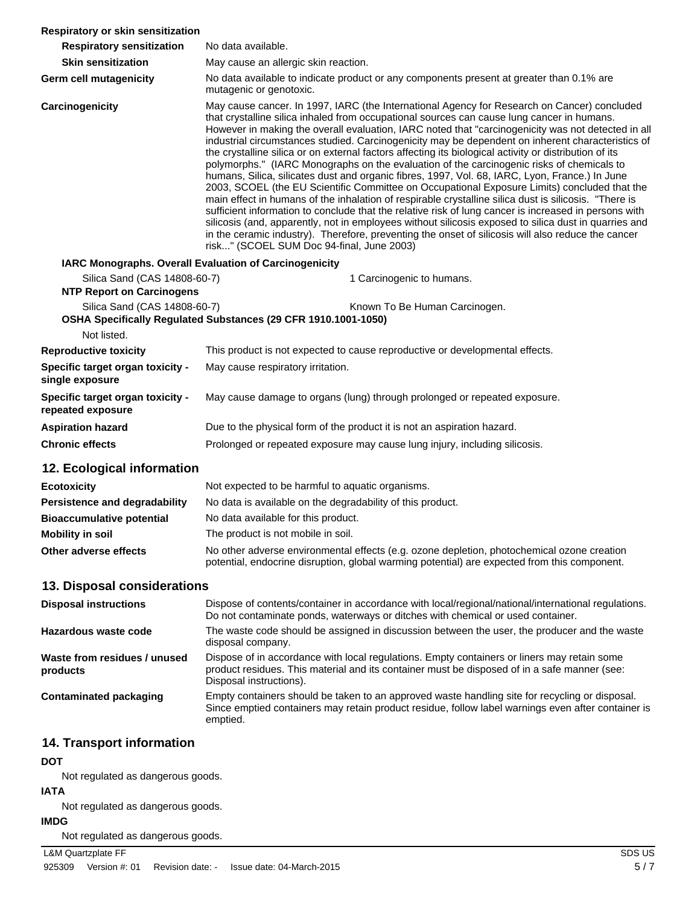| Respiratory or skin sensitization                                |                                                                                                                                                                                                                                                                                                                                                                                                                                                                                                                                                                                                                                                                                                                                                                                                                                                                                                                                                                                                                                                                                                                                                                                                                                                                                             |  |
|------------------------------------------------------------------|---------------------------------------------------------------------------------------------------------------------------------------------------------------------------------------------------------------------------------------------------------------------------------------------------------------------------------------------------------------------------------------------------------------------------------------------------------------------------------------------------------------------------------------------------------------------------------------------------------------------------------------------------------------------------------------------------------------------------------------------------------------------------------------------------------------------------------------------------------------------------------------------------------------------------------------------------------------------------------------------------------------------------------------------------------------------------------------------------------------------------------------------------------------------------------------------------------------------------------------------------------------------------------------------|--|
| <b>Respiratory sensitization</b>                                 | No data available.                                                                                                                                                                                                                                                                                                                                                                                                                                                                                                                                                                                                                                                                                                                                                                                                                                                                                                                                                                                                                                                                                                                                                                                                                                                                          |  |
| <b>Skin sensitization</b>                                        | May cause an allergic skin reaction.                                                                                                                                                                                                                                                                                                                                                                                                                                                                                                                                                                                                                                                                                                                                                                                                                                                                                                                                                                                                                                                                                                                                                                                                                                                        |  |
| Germ cell mutagenicity                                           | No data available to indicate product or any components present at greater than 0.1% are<br>mutagenic or genotoxic.                                                                                                                                                                                                                                                                                                                                                                                                                                                                                                                                                                                                                                                                                                                                                                                                                                                                                                                                                                                                                                                                                                                                                                         |  |
| Carcinogenicity                                                  | May cause cancer. In 1997, IARC (the International Agency for Research on Cancer) concluded<br>that crystalline silica inhaled from occupational sources can cause lung cancer in humans.<br>However in making the overall evaluation, IARC noted that "carcinogenicity was not detected in all<br>industrial circumstances studied. Carcinogenicity may be dependent on inherent characteristics of<br>the crystalline silica or on external factors affecting its biological activity or distribution of its<br>polymorphs." (IARC Monographs on the evaluation of the carcinogenic risks of chemicals to<br>humans, Silica, silicates dust and organic fibres, 1997, Vol. 68, IARC, Lyon, France.) In June<br>2003, SCOEL (the EU Scientific Committee on Occupational Exposure Limits) concluded that the<br>main effect in humans of the inhalation of respirable crystalline silica dust is silicosis. "There is<br>sufficient information to conclude that the relative risk of lung cancer is increased in persons with<br>silicosis (and, apparently, not in employees without silicosis exposed to silica dust in quarries and<br>in the ceramic industry). Therefore, preventing the onset of silicosis will also reduce the cancer<br>risk" (SCOEL SUM Doc 94-final, June 2003) |  |
| IARC Monographs. Overall Evaluation of Carcinogenicity           |                                                                                                                                                                                                                                                                                                                                                                                                                                                                                                                                                                                                                                                                                                                                                                                                                                                                                                                                                                                                                                                                                                                                                                                                                                                                                             |  |
| Silica Sand (CAS 14808-60-7)<br><b>NTP Report on Carcinogens</b> | 1 Carcinogenic to humans.                                                                                                                                                                                                                                                                                                                                                                                                                                                                                                                                                                                                                                                                                                                                                                                                                                                                                                                                                                                                                                                                                                                                                                                                                                                                   |  |
| Silica Sand (CAS 14808-60-7)                                     | Known To Be Human Carcinogen.                                                                                                                                                                                                                                                                                                                                                                                                                                                                                                                                                                                                                                                                                                                                                                                                                                                                                                                                                                                                                                                                                                                                                                                                                                                               |  |
| Not listed.                                                      | OSHA Specifically Regulated Substances (29 CFR 1910.1001-1050)                                                                                                                                                                                                                                                                                                                                                                                                                                                                                                                                                                                                                                                                                                                                                                                                                                                                                                                                                                                                                                                                                                                                                                                                                              |  |
| <b>Reproductive toxicity</b>                                     | This product is not expected to cause reproductive or developmental effects.                                                                                                                                                                                                                                                                                                                                                                                                                                                                                                                                                                                                                                                                                                                                                                                                                                                                                                                                                                                                                                                                                                                                                                                                                |  |
|                                                                  | May cause respiratory irritation.                                                                                                                                                                                                                                                                                                                                                                                                                                                                                                                                                                                                                                                                                                                                                                                                                                                                                                                                                                                                                                                                                                                                                                                                                                                           |  |
| Specific target organ toxicity -<br>single exposure              |                                                                                                                                                                                                                                                                                                                                                                                                                                                                                                                                                                                                                                                                                                                                                                                                                                                                                                                                                                                                                                                                                                                                                                                                                                                                                             |  |
| Specific target organ toxicity -<br>repeated exposure            | May cause damage to organs (lung) through prolonged or repeated exposure.                                                                                                                                                                                                                                                                                                                                                                                                                                                                                                                                                                                                                                                                                                                                                                                                                                                                                                                                                                                                                                                                                                                                                                                                                   |  |
| <b>Aspiration hazard</b>                                         | Due to the physical form of the product it is not an aspiration hazard.                                                                                                                                                                                                                                                                                                                                                                                                                                                                                                                                                                                                                                                                                                                                                                                                                                                                                                                                                                                                                                                                                                                                                                                                                     |  |
| <b>Chronic effects</b>                                           | Prolonged or repeated exposure may cause lung injury, including silicosis.                                                                                                                                                                                                                                                                                                                                                                                                                                                                                                                                                                                                                                                                                                                                                                                                                                                                                                                                                                                                                                                                                                                                                                                                                  |  |
| 12. Ecological information                                       |                                                                                                                                                                                                                                                                                                                                                                                                                                                                                                                                                                                                                                                                                                                                                                                                                                                                                                                                                                                                                                                                                                                                                                                                                                                                                             |  |
| <b>Ecotoxicity</b>                                               | Not expected to be harmful to aquatic organisms.                                                                                                                                                                                                                                                                                                                                                                                                                                                                                                                                                                                                                                                                                                                                                                                                                                                                                                                                                                                                                                                                                                                                                                                                                                            |  |
| Persistence and degradability                                    | No data is available on the degradability of this product.                                                                                                                                                                                                                                                                                                                                                                                                                                                                                                                                                                                                                                                                                                                                                                                                                                                                                                                                                                                                                                                                                                                                                                                                                                  |  |
| <b>Bioaccumulative potential</b>                                 | No data available for this product.                                                                                                                                                                                                                                                                                                                                                                                                                                                                                                                                                                                                                                                                                                                                                                                                                                                                                                                                                                                                                                                                                                                                                                                                                                                         |  |
| <b>Mobility in soil</b>                                          | The product is not mobile in soil.                                                                                                                                                                                                                                                                                                                                                                                                                                                                                                                                                                                                                                                                                                                                                                                                                                                                                                                                                                                                                                                                                                                                                                                                                                                          |  |
| Other adverse effects                                            | No other adverse environmental effects (e.g. ozone depletion, photochemical ozone creation<br>potential, endocrine disruption, global warming potential) are expected from this component.                                                                                                                                                                                                                                                                                                                                                                                                                                                                                                                                                                                                                                                                                                                                                                                                                                                                                                                                                                                                                                                                                                  |  |
| 13. Disposal considerations                                      |                                                                                                                                                                                                                                                                                                                                                                                                                                                                                                                                                                                                                                                                                                                                                                                                                                                                                                                                                                                                                                                                                                                                                                                                                                                                                             |  |
| <b>Disposal instructions</b>                                     | Dispose of contents/container in accordance with local/regional/national/international regulations.<br>Do not contaminate ponds, waterways or ditches with chemical or used container.                                                                                                                                                                                                                                                                                                                                                                                                                                                                                                                                                                                                                                                                                                                                                                                                                                                                                                                                                                                                                                                                                                      |  |
| Hazardous waste code                                             | The waste code should be assigned in discussion between the user, the producer and the waste<br>disposal company.                                                                                                                                                                                                                                                                                                                                                                                                                                                                                                                                                                                                                                                                                                                                                                                                                                                                                                                                                                                                                                                                                                                                                                           |  |
| Waste from residues / unused<br>products                         | Dispose of in accordance with local regulations. Empty containers or liners may retain some<br>product residues. This material and its container must be disposed of in a safe manner (see:<br>Disposal instructions).                                                                                                                                                                                                                                                                                                                                                                                                                                                                                                                                                                                                                                                                                                                                                                                                                                                                                                                                                                                                                                                                      |  |
| <b>Contaminated packaging</b>                                    | Empty containers should be taken to an approved waste handling site for recycling or disposal.<br>Since emptied containers may retain product residue, follow label warnings even after container is<br>emptied.                                                                                                                                                                                                                                                                                                                                                                                                                                                                                                                                                                                                                                                                                                                                                                                                                                                                                                                                                                                                                                                                            |  |
| 14. Transport information                                        |                                                                                                                                                                                                                                                                                                                                                                                                                                                                                                                                                                                                                                                                                                                                                                                                                                                                                                                                                                                                                                                                                                                                                                                                                                                                                             |  |
| <b>DOT</b><br>Not regulated as dangerous goods.                  |                                                                                                                                                                                                                                                                                                                                                                                                                                                                                                                                                                                                                                                                                                                                                                                                                                                                                                                                                                                                                                                                                                                                                                                                                                                                                             |  |

**IATA**

Not regulated as dangerous goods.

## **IMDG**

Not regulated as dangerous goods.

#### L&M Quartzplate FF SDS US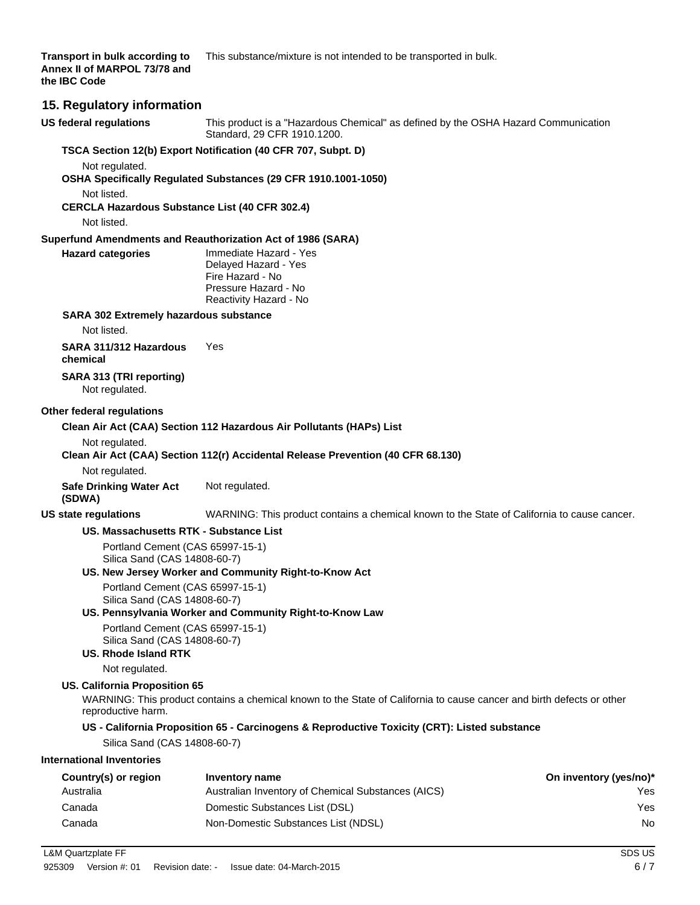# **Transport in bulk according to** This substance/mixture is not intended to be transported in bulk.

#### **15. Regulatory information**

**US federal regulations** This product is a "Hazardous Chemical" as defined by the OSHA Hazard Communication Standard, 29 CFR 1910.1200. **TSCA Section 12(b) Export Notification (40 CFR 707, Subpt. D)** Not regulated. **OSHA Specifically Regulated Substances (29 CFR 1910.1001-1050)** Not listed. **CERCLA Hazardous Substance List (40 CFR 302.4)** Not listed. **Superfund Amendments and Reauthorization Act of 1986 (SARA) Hazard categories** Immediate Hazard - Yes Delayed Hazard - Yes Fire Hazard - No Pressure Hazard - No Reactivity Hazard - No **SARA 302 Extremely hazardous substance** Not listed. **SARA 311/312 Hazardous chemical** Yes **SARA 313 (TRI reporting)** Not regulated. **Other federal regulations Clean Air Act (CAA) Section 112 Hazardous Air Pollutants (HAPs) List** Not regulated. **Clean Air Act (CAA) Section 112(r) Accidental Release Prevention (40 CFR 68.130)** Not regulated. **Safe Drinking Water Act (SDWA)** Not regulated. **US state regulations** WARNING: This product contains a chemical known to the State of California to cause cancer. **US. Massachusetts RTK - Substance List** Portland Cement (CAS 65997-15-1) Silica Sand (CAS 14808-60-7) **US. New Jersey Worker and Community Right-to-Know Act** Portland Cement (CAS 65997-15-1) Silica Sand (CAS 14808-60-7) **US. Pennsylvania Worker and Community Right-to-Know Law** Portland Cement (CAS 65997-15-1) Silica Sand (CAS 14808-60-7) **US. Rhode Island RTK** Not regulated. **US. California Proposition 65** WARNING: This product contains a chemical known to the State of California to cause cancer and birth defects or other reproductive harm. **US - California Proposition 65 - Carcinogens & Reproductive Toxicity (CRT): Listed substance** Silica Sand (CAS 14808-60-7) **International Inventories** Country(s) or region Inventory name **Country in the Country of Country (yes/no**)<sup>\*</sup> Australia Australian Inventory of Chemical Substances (AICS) Yes Canada Domestic Substances List (DSL) Yes

Canada Non-Domestic Substances List (NDSL) No